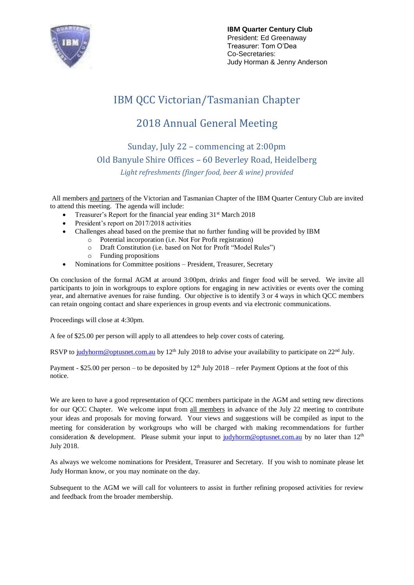

**IBM Quarter Century Club** President: Ed Greenaway Treasurer: Tom O'Dea Co-Secretaries: Judy Horman & Jenny Anderson

# IBM QCC Victorian/Tasmanian Chapter

## 2018 Annual General Meeting

Sunday, July 22 – commencing at 2:00pm Old Banyule Shire Offices – 60 Beverley Road, Heidelberg *Light refreshments (finger food, beer & wine) provided*

All members and partners of the Victorian and Tasmanian Chapter of the IBM Quarter Century Club are invited to attend this meeting. The agenda will include:

- Treasurer's Report for the financial year ending 31<sup>st</sup> March 2018
- President's report on 2017/2018 activities
- Challenges ahead based on the premise that no further funding will be provided by IBM
- o Potential incorporation (i.e. Not For Profit registration)
	- o Draft Constitution (i.e. based on Not for Profit "Model Rules")
	- o Funding propositions
- Nominations for Committee positions President, Treasurer, Secretary

On conclusion of the formal AGM at around 3:00pm, drinks and finger food will be served. We invite all participants to join in workgroups to explore options for engaging in new activities or events over the coming year, and alternative avenues for raise funding. Our objective is to identify 3 or 4 ways in which QCC members can retain ongoing contact and share experiences in group events and via electronic communications.

Proceedings will close at 4:30pm.

A fee of \$25.00 per person will apply to all attendees to help cover costs of catering.

RSVP to [judyhorm@optusnet.com.au](mailto:judyhorm@optusnet.com.au) by 12<sup>th</sup> July 2018 to advise your availability to participate on 22<sup>nd</sup> July.

Payment - \$25.00 per person – to be deposited by  $12<sup>th</sup>$  July 2018 – refer Payment Options at the foot of this notice.

We are keen to have a good representation of QCC members participate in the AGM and setting new directions for our QCC Chapter. We welcome input from all members in advance of the July 22 meeting to contribute your ideas and proposals for moving forward. Your views and suggestions will be compiled as input to the meeting for consideration by workgroups who will be charged with making recommendations for further consideration & development. Please submit your input to [judyhorm@optusnet.com.au](mailto:judyhorm@optusnet.com.au) by no later than 12<sup>th</sup> July 2018.

As always we welcome nominations for President, Treasurer and Secretary. If you wish to nominate please let Judy Horman know, or you may nominate on the day.

Subsequent to the AGM we will call for volunteers to assist in further refining proposed activities for review and feedback from the broader membership.